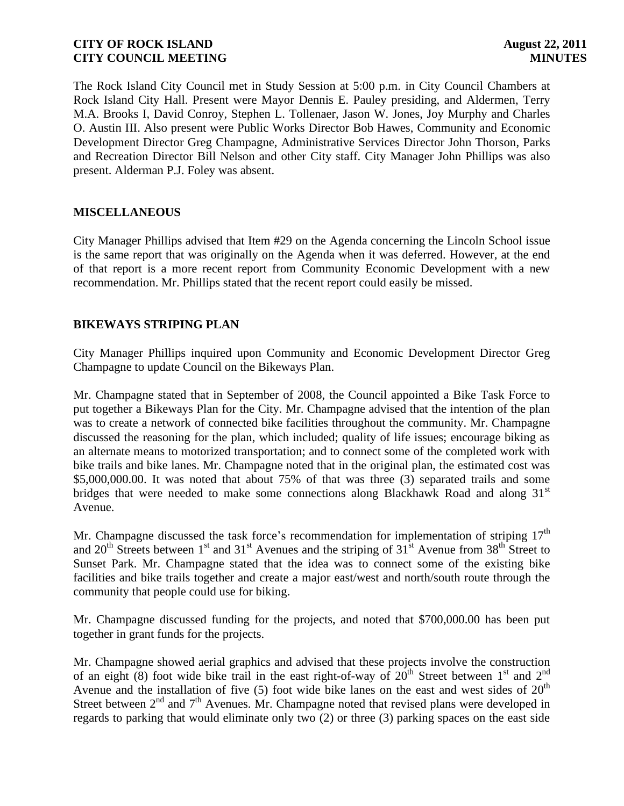The Rock Island City Council met in Study Session at 5:00 p.m. in City Council Chambers at Rock Island City Hall. Present were Mayor Dennis E. Pauley presiding, and Aldermen, Terry M.A. Brooks I, David Conroy, Stephen L. Tollenaer, Jason W. Jones, Joy Murphy and Charles O. Austin III. Also present were Public Works Director Bob Hawes, Community and Economic Development Director Greg Champagne, Administrative Services Director John Thorson, Parks and Recreation Director Bill Nelson and other City staff. City Manager John Phillips was also present. Alderman P.J. Foley was absent.

## **MISCELLANEOUS**

City Manager Phillips advised that Item #29 on the Agenda concerning the Lincoln School issue is the same report that was originally on the Agenda when it was deferred. However, at the end of that report is a more recent report from Community Economic Development with a new recommendation. Mr. Phillips stated that the recent report could easily be missed.

## **BIKEWAYS STRIPING PLAN**

City Manager Phillips inquired upon Community and Economic Development Director Greg Champagne to update Council on the Bikeways Plan.

Mr. Champagne stated that in September of 2008, the Council appointed a Bike Task Force to put together a Bikeways Plan for the City. Mr. Champagne advised that the intention of the plan was to create a network of connected bike facilities throughout the community. Mr. Champagne discussed the reasoning for the plan, which included; quality of life issues; encourage biking as an alternate means to motorized transportation; and to connect some of the completed work with bike trails and bike lanes. Mr. Champagne noted that in the original plan, the estimated cost was \$5,000,000.00. It was noted that about 75% of that was three (3) separated trails and some bridges that were needed to make some connections along Blackhawk Road and along  $31<sup>st</sup>$ Avenue.

Mr. Champagne discussed the task force's recommendation for implementation of striping  $17<sup>th</sup>$ and  $20<sup>th</sup>$  Streets between 1<sup>st</sup> and 31<sup>st</sup> Avenues and the striping of  $31<sup>st</sup>$  Avenue from  $38<sup>th</sup>$  Street to Sunset Park. Mr. Champagne stated that the idea was to connect some of the existing bike facilities and bike trails together and create a major east/west and north/south route through the community that people could use for biking.

Mr. Champagne discussed funding for the projects, and noted that \$700,000.00 has been put together in grant funds for the projects.

Mr. Champagne showed aerial graphics and advised that these projects involve the construction of an eight (8) foot wide bike trail in the east right-of-way of  $20<sup>th</sup>$  Street between 1<sup>st</sup> and 2<sup>nd</sup> Avenue and the installation of five  $(5)$  foot wide bike lanes on the east and west sides of  $20<sup>th</sup>$ Street between  $2<sup>nd</sup>$  and  $7<sup>th</sup>$  Avenues. Mr. Champagne noted that revised plans were developed in regards to parking that would eliminate only two (2) or three (3) parking spaces on the east side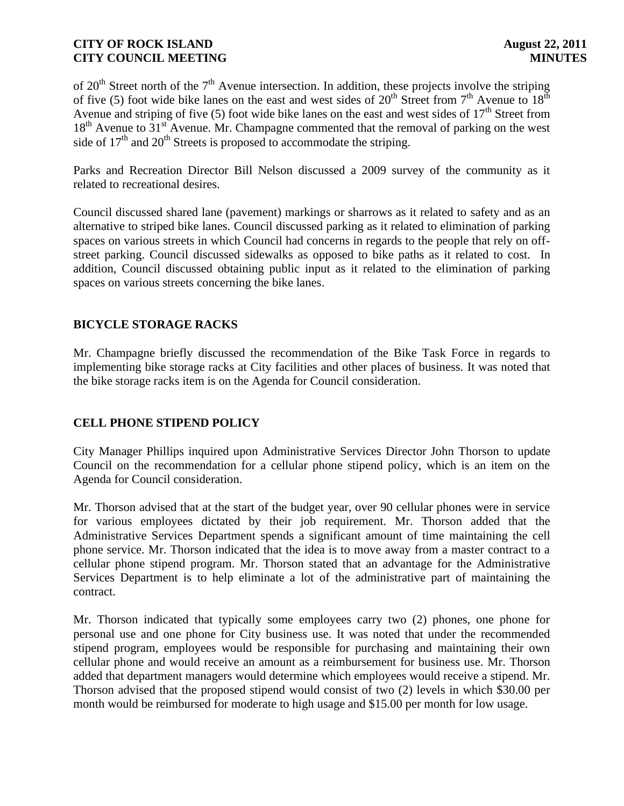of  $20<sup>th</sup>$  Street north of the  $7<sup>th</sup>$  Avenue intersection. In addition, these projects involve the striping of five (5) foot wide bike lanes on the east and west sides of  $20^{th}$  Street from  $7^{th}$  Avenue to  $18^{th}$ Avenue and striping of five (5) foot wide bike lanes on the east and west sides of  $17<sup>th</sup>$  Street from  $18<sup>th</sup>$  Avenue to  $31<sup>st</sup>$  Avenue. Mr. Champagne commented that the removal of parking on the west side of  $17<sup>th</sup>$  and  $20<sup>th</sup>$  Streets is proposed to accommodate the striping.

Parks and Recreation Director Bill Nelson discussed a 2009 survey of the community as it related to recreational desires.

Council discussed shared lane (pavement) markings or sharrows as it related to safety and as an alternative to striped bike lanes. Council discussed parking as it related to elimination of parking spaces on various streets in which Council had concerns in regards to the people that rely on offstreet parking. Council discussed sidewalks as opposed to bike paths as it related to cost. In addition, Council discussed obtaining public input as it related to the elimination of parking spaces on various streets concerning the bike lanes.

# **BICYCLE STORAGE RACKS**

Mr. Champagne briefly discussed the recommendation of the Bike Task Force in regards to implementing bike storage racks at City facilities and other places of business. It was noted that the bike storage racks item is on the Agenda for Council consideration.

# **CELL PHONE STIPEND POLICY**

City Manager Phillips inquired upon Administrative Services Director John Thorson to update Council on the recommendation for a cellular phone stipend policy, which is an item on the Agenda for Council consideration.

Mr. Thorson advised that at the start of the budget year, over 90 cellular phones were in service for various employees dictated by their job requirement. Mr. Thorson added that the Administrative Services Department spends a significant amount of time maintaining the cell phone service. Mr. Thorson indicated that the idea is to move away from a master contract to a cellular phone stipend program. Mr. Thorson stated that an advantage for the Administrative Services Department is to help eliminate a lot of the administrative part of maintaining the contract.

Mr. Thorson indicated that typically some employees carry two (2) phones, one phone for personal use and one phone for City business use. It was noted that under the recommended stipend program, employees would be responsible for purchasing and maintaining their own cellular phone and would receive an amount as a reimbursement for business use. Mr. Thorson added that department managers would determine which employees would receive a stipend. Mr. Thorson advised that the proposed stipend would consist of two (2) levels in which \$30.00 per month would be reimbursed for moderate to high usage and \$15.00 per month for low usage.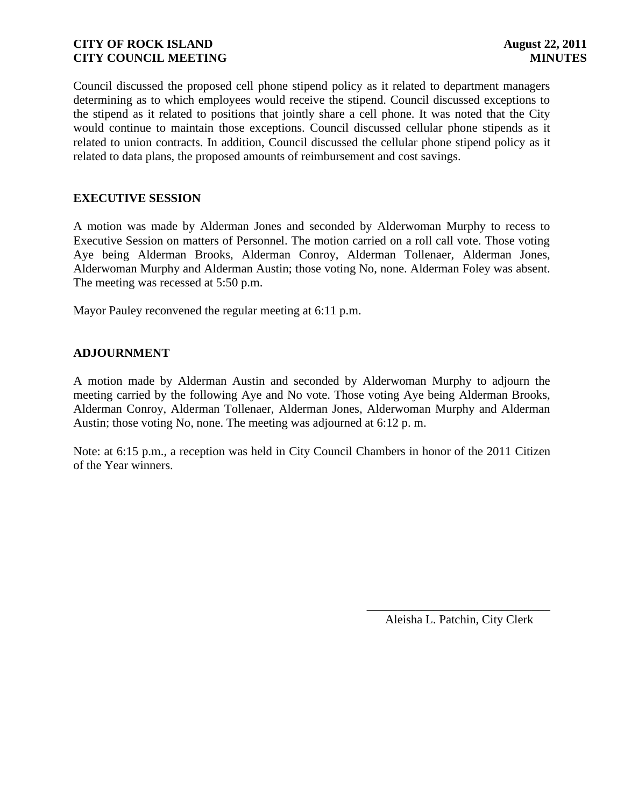Council discussed the proposed cell phone stipend policy as it related to department managers determining as to which employees would receive the stipend. Council discussed exceptions to the stipend as it related to positions that jointly share a cell phone. It was noted that the City would continue to maintain those exceptions. Council discussed cellular phone stipends as it related to union contracts. In addition, Council discussed the cellular phone stipend policy as it related to data plans, the proposed amounts of reimbursement and cost savings.

## **EXECUTIVE SESSION**

A motion was made by Alderman Jones and seconded by Alderwoman Murphy to recess to Executive Session on matters of Personnel. The motion carried on a roll call vote. Those voting Aye being Alderman Brooks, Alderman Conroy, Alderman Tollenaer, Alderman Jones, Alderwoman Murphy and Alderman Austin; those voting No, none. Alderman Foley was absent. The meeting was recessed at 5:50 p.m.

Mayor Pauley reconvened the regular meeting at 6:11 p.m.

## **ADJOURNMENT**

A motion made by Alderman Austin and seconded by Alderwoman Murphy to adjourn the meeting carried by the following Aye and No vote. Those voting Aye being Alderman Brooks, Alderman Conroy, Alderman Tollenaer, Alderman Jones, Alderwoman Murphy and Alderman Austin; those voting No, none. The meeting was adjourned at 6:12 p. m.

Note: at 6:15 p.m., a reception was held in City Council Chambers in honor of the 2011 Citizen of the Year winners.

> \_\_\_\_\_\_\_\_\_\_\_\_\_\_\_\_\_\_\_\_\_\_\_\_\_\_\_\_\_\_ Aleisha L. Patchin, City Clerk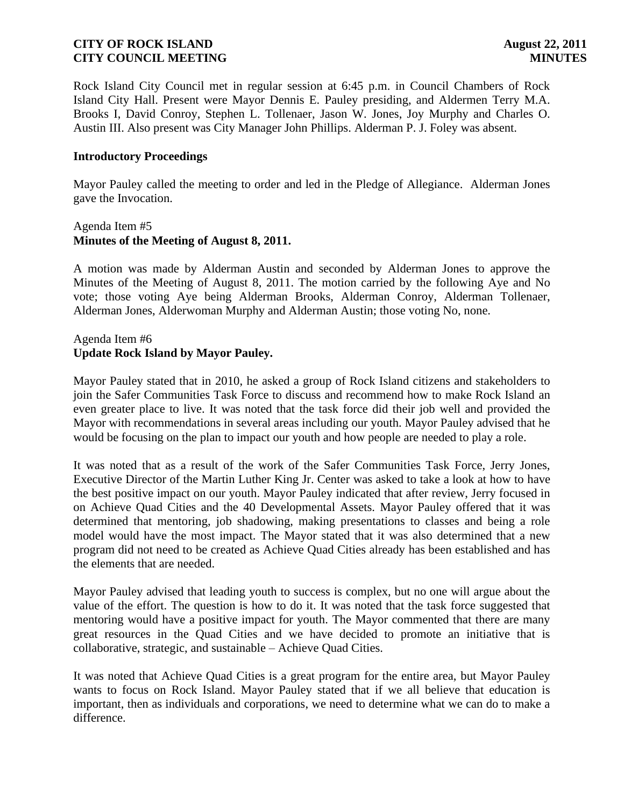Rock Island City Council met in regular session at 6:45 p.m. in Council Chambers of Rock Island City Hall. Present were Mayor Dennis E. Pauley presiding, and Aldermen Terry M.A. Brooks I, David Conroy, Stephen L. Tollenaer, Jason W. Jones, Joy Murphy and Charles O. Austin III. Also present was City Manager John Phillips. Alderman P. J. Foley was absent.

#### **Introductory Proceedings**

Mayor Pauley called the meeting to order and led in the Pledge of Allegiance. Alderman Jones gave the Invocation.

#### Agenda Item #5 **Minutes of the Meeting of August 8, 2011.**

A motion was made by Alderman Austin and seconded by Alderman Jones to approve the Minutes of the Meeting of August 8, 2011. The motion carried by the following Aye and No vote; those voting Aye being Alderman Brooks, Alderman Conroy, Alderman Tollenaer, Alderman Jones, Alderwoman Murphy and Alderman Austin; those voting No, none.

# Agenda Item #6 **Update Rock Island by Mayor Pauley.**

Mayor Pauley stated that in 2010, he asked a group of Rock Island citizens and stakeholders to join the Safer Communities Task Force to discuss and recommend how to make Rock Island an even greater place to live. It was noted that the task force did their job well and provided the Mayor with recommendations in several areas including our youth. Mayor Pauley advised that he would be focusing on the plan to impact our youth and how people are needed to play a role.

It was noted that as a result of the work of the Safer Communities Task Force, Jerry Jones, Executive Director of the Martin Luther King Jr. Center was asked to take a look at how to have the best positive impact on our youth. Mayor Pauley indicated that after review, Jerry focused in on Achieve Quad Cities and the 40 Developmental Assets. Mayor Pauley offered that it was determined that mentoring, job shadowing, making presentations to classes and being a role model would have the most impact. The Mayor stated that it was also determined that a new program did not need to be created as Achieve Quad Cities already has been established and has the elements that are needed.

Mayor Pauley advised that leading youth to success is complex, but no one will argue about the value of the effort. The question is how to do it. It was noted that the task force suggested that mentoring would have a positive impact for youth. The Mayor commented that there are many great resources in the Quad Cities and we have decided to promote an initiative that is collaborative, strategic, and sustainable – Achieve Quad Cities.

It was noted that Achieve Quad Cities is a great program for the entire area, but Mayor Pauley wants to focus on Rock Island. Mayor Pauley stated that if we all believe that education is important, then as individuals and corporations, we need to determine what we can do to make a difference.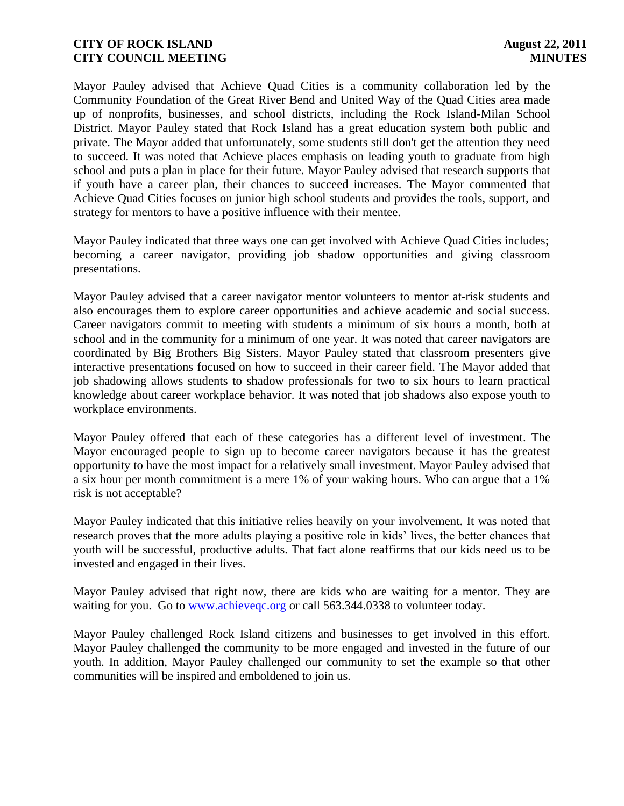Mayor Pauley advised that Achieve Quad Cities is a community collaboration led by the Community Foundation of the Great River Bend and United Way of the Quad Cities area made up of nonprofits, businesses, and school districts, including the Rock Island-Milan School District. Mayor Pauley stated that Rock Island has a great education system both public and private. The Mayor added that unfortunately, some students still don't get the attention they need to succeed. It was noted that Achieve places emphasis on leading youth to graduate from high school and puts a plan in place for their future. Mayor Pauley advised that research supports that if youth have a career plan, their chances to succeed increases. The Mayor commented that Achieve Quad Cities focuses on junior high school students and provides the tools, support, and strategy for mentors to have a positive influence with their mentee.

Mayor Pauley indicated that three ways one can get involved with Achieve Quad Cities includes; becoming a career navigator, providing job shado**w** opportunities and giving classroom presentations.

Mayor Pauley advised that a career navigator mentor volunteers to mentor at-risk students and also encourages them to explore career opportunities and achieve academic and social success. Career navigators commit to meeting with students a minimum of six hours a month, both at school and in the community for a minimum of one year. It was noted that career navigators are coordinated by Big Brothers Big Sisters. Mayor Pauley stated that classroom presenters give interactive presentations focused on how to succeed in their career field. The Mayor added that job shadowing allows students to shadow professionals for two to six hours to learn practical knowledge about career workplace behavior. It was noted that job shadows also expose youth to workplace environments.

Mayor Pauley offered that each of these categories has a different level of investment. The Mayor encouraged people to sign up to become career navigators because it has the greatest opportunity to have the most impact for a relatively small investment. Mayor Pauley advised that a six hour per month commitment is a mere 1% of your waking hours. Who can argue that a 1% risk is not acceptable?

Mayor Pauley indicated that this initiative relies heavily on your involvement. It was noted that research proves that the more adults playing a positive role in kids' lives, the better chances that youth will be successful, productive adults. That fact alone reaffirms that our kids need us to be invested and engaged in their lives.

Mayor Pauley advised that right now, there are kids who are waiting for a mentor. They are waiting for you. Go to www.achievegc.org or call 563.344.0338 to volunteer today.

Mayor Pauley challenged Rock Island citizens and businesses to get involved in this effort. Mayor Pauley challenged the community to be more engaged and invested in the future of our youth. In addition, Mayor Pauley challenged our community to set the example so that other communities will be inspired and emboldened to join us.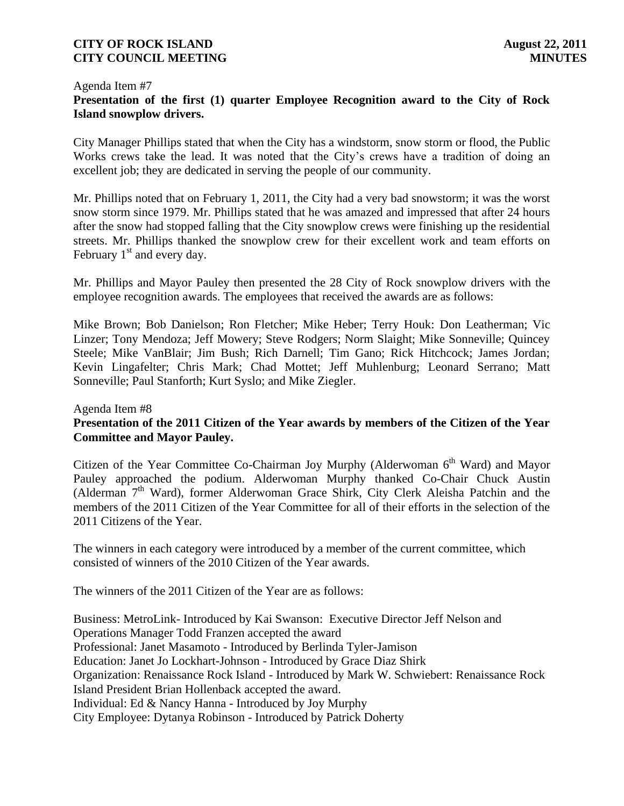#### Agenda Item #7 **Presentation of the first (1) quarter Employee Recognition award to the City of Rock Island snowplow drivers.**

City Manager Phillips stated that when the City has a windstorm, snow storm or flood, the Public Works crews take the lead. It was noted that the City's crews have a tradition of doing an excellent job; they are dedicated in serving the people of our community.

Mr. Phillips noted that on February 1, 2011, the City had a very bad snowstorm; it was the worst snow storm since 1979. Mr. Phillips stated that he was amazed and impressed that after 24 hours after the snow had stopped falling that the City snowplow crews were finishing up the residential streets. Mr. Phillips thanked the snowplow crew for their excellent work and team efforts on February  $1<sup>st</sup>$  and every day.

Mr. Phillips and Mayor Pauley then presented the 28 City of Rock snowplow drivers with the employee recognition awards. The employees that received the awards are as follows:

Mike Brown; Bob Danielson; Ron Fletcher; Mike Heber; Terry Houk: Don Leatherman; Vic Linzer; Tony Mendoza; Jeff Mowery; Steve Rodgers; Norm Slaight; Mike Sonneville; Quincey Steele; Mike VanBlair; Jim Bush; Rich Darnell; Tim Gano; Rick Hitchcock; James Jordan; Kevin Lingafelter; Chris Mark; Chad Mottet; Jeff Muhlenburg; Leonard Serrano; Matt Sonneville; Paul Stanforth; Kurt Syslo; and Mike Ziegler.

#### Agenda Item #8

## **Presentation of the 2011 Citizen of the Year awards by members of the Citizen of the Year Committee and Mayor Pauley.**

Citizen of the Year Committee Co-Chairman Joy Murphy (Alderwoman  $6<sup>th</sup>$  Ward) and Mayor Pauley approached the podium. Alderwoman Murphy thanked Co-Chair Chuck Austin (Alderman 7<sup>th</sup> Ward), former Alderwoman Grace Shirk, City Clerk Aleisha Patchin and the members of the 2011 Citizen of the Year Committee for all of their efforts in the selection of the 2011 Citizens of the Year.

The winners in each category were introduced by a member of the current committee, which consisted of winners of the 2010 Citizen of the Year awards.

The winners of the 2011 Citizen of the Year are as follows:

Business: MetroLink- Introduced by Kai Swanson: Executive Director Jeff Nelson and Operations Manager Todd Franzen accepted the award Professional: Janet Masamoto - Introduced by Berlinda Tyler-Jamison Education: Janet Jo Lockhart-Johnson - Introduced by Grace Diaz Shirk Organization: Renaissance Rock Island - Introduced by Mark W. Schwiebert: Renaissance Rock Island President Brian Hollenback accepted the award. Individual: Ed & Nancy Hanna - Introduced by Joy Murphy City Employee: Dytanya Robinson - Introduced by Patrick Doherty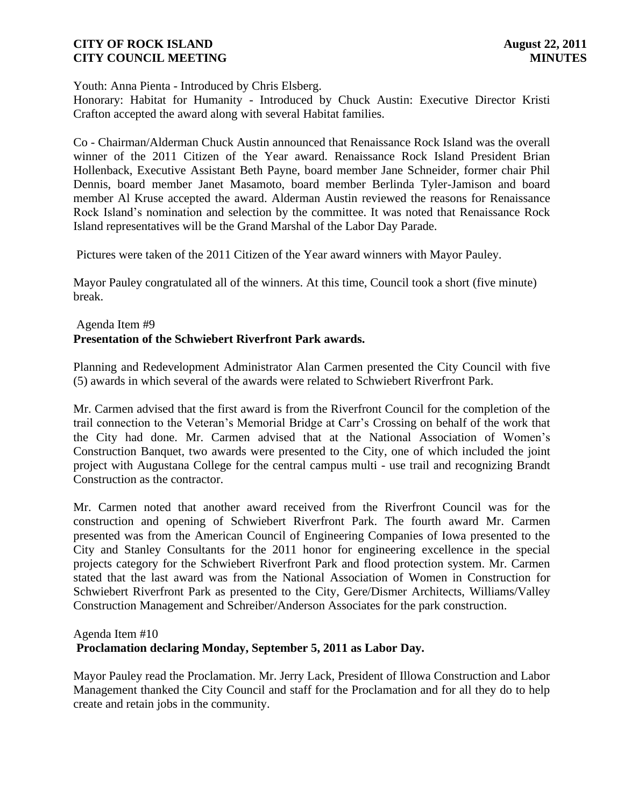Youth: Anna Pienta - Introduced by Chris Elsberg.

Honorary: Habitat for Humanity - Introduced by Chuck Austin: Executive Director Kristi Crafton accepted the award along with several Habitat families.

Co - Chairman/Alderman Chuck Austin announced that Renaissance Rock Island was the overall winner of the 2011 Citizen of the Year award. Renaissance Rock Island President Brian Hollenback, Executive Assistant Beth Payne, board member Jane Schneider, former chair Phil Dennis, board member Janet Masamoto, board member Berlinda Tyler-Jamison and board member Al Kruse accepted the award. Alderman Austin reviewed the reasons for Renaissance Rock Island's nomination and selection by the committee. It was noted that Renaissance Rock Island representatives will be the Grand Marshal of the Labor Day Parade.

Pictures were taken of the 2011 Citizen of the Year award winners with Mayor Pauley.

Mayor Pauley congratulated all of the winners. At this time, Council took a short (five minute) break.

### Agenda Item #9 **Presentation of the Schwiebert Riverfront Park awards.**

Planning and Redevelopment Administrator Alan Carmen presented the City Council with five (5) awards in which several of the awards were related to Schwiebert Riverfront Park.

Mr. Carmen advised that the first award is from the Riverfront Council for the completion of the trail connection to the Veteran's Memorial Bridge at Carr's Crossing on behalf of the work that the City had done. Mr. Carmen advised that at the National Association of Women's Construction Banquet, two awards were presented to the City, one of which included the joint project with Augustana College for the central campus multi - use trail and recognizing Brandt Construction as the contractor.

Mr. Carmen noted that another award received from the Riverfront Council was for the construction and opening of Schwiebert Riverfront Park. The fourth award Mr. Carmen presented was from the American Council of Engineering Companies of Iowa presented to the City and Stanley Consultants for the 2011 honor for engineering excellence in the special projects category for the Schwiebert Riverfront Park and flood protection system. Mr. Carmen stated that the last award was from the National Association of Women in Construction for Schwiebert Riverfront Park as presented to the City, Gere/Dismer Architects, Williams/Valley Construction Management and Schreiber/Anderson Associates for the park construction.

#### Agenda Item #10

### **Proclamation declaring Monday, September 5, 2011 as Labor Day.**

Mayor Pauley read the Proclamation. Mr. Jerry Lack, President of Illowa Construction and Labor Management thanked the City Council and staff for the Proclamation and for all they do to help create and retain jobs in the community.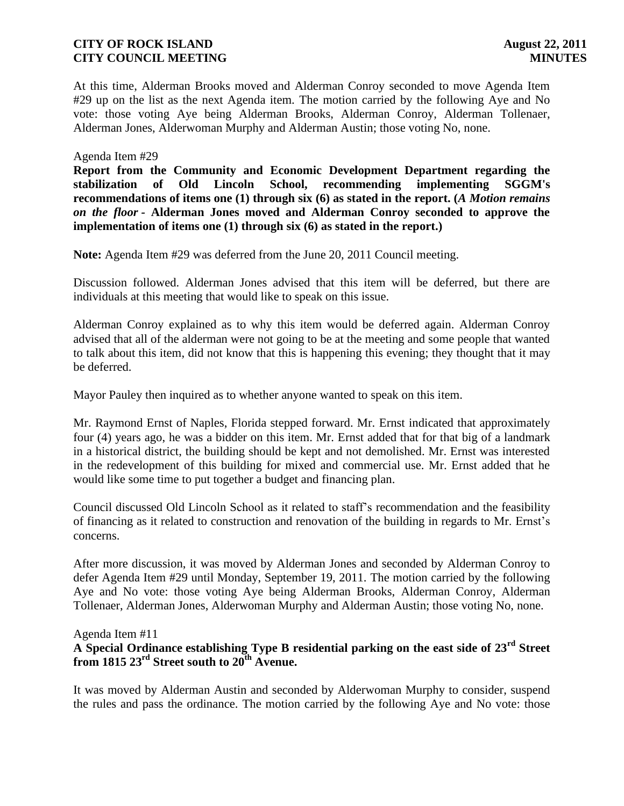At this time, Alderman Brooks moved and Alderman Conroy seconded to move Agenda Item #29 up on the list as the next Agenda item. The motion carried by the following Aye and No vote: those voting Aye being Alderman Brooks, Alderman Conroy, Alderman Tollenaer, Alderman Jones, Alderwoman Murphy and Alderman Austin; those voting No, none.

#### Agenda Item #29

**Report from the Community and Economic Development Department regarding the stabilization of Old Lincoln School, recommending implementing SGGM's recommendations of items one (1) through six (6) as stated in the report. (***A Motion remains on the floor -* **Alderman Jones moved and Alderman Conroy seconded to approve the implementation of items one (1) through six (6) as stated in the report.)**

**Note:** Agenda Item #29 was deferred from the June 20, 2011 Council meeting.

Discussion followed. Alderman Jones advised that this item will be deferred, but there are individuals at this meeting that would like to speak on this issue.

Alderman Conroy explained as to why this item would be deferred again. Alderman Conroy advised that all of the alderman were not going to be at the meeting and some people that wanted to talk about this item, did not know that this is happening this evening; they thought that it may be deferred.

Mayor Pauley then inquired as to whether anyone wanted to speak on this item.

Mr. Raymond Ernst of Naples, Florida stepped forward. Mr. Ernst indicated that approximately four (4) years ago, he was a bidder on this item. Mr. Ernst added that for that big of a landmark in a historical district, the building should be kept and not demolished. Mr. Ernst was interested in the redevelopment of this building for mixed and commercial use. Mr. Ernst added that he would like some time to put together a budget and financing plan.

Council discussed Old Lincoln School as it related to staff's recommendation and the feasibility of financing as it related to construction and renovation of the building in regards to Mr. Ernst's concerns.

After more discussion, it was moved by Alderman Jones and seconded by Alderman Conroy to defer Agenda Item #29 until Monday, September 19, 2011. The motion carried by the following Aye and No vote: those voting Aye being Alderman Brooks, Alderman Conroy, Alderman Tollenaer, Alderman Jones, Alderwoman Murphy and Alderman Austin; those voting No, none.

#### Agenda Item #11

# **A Special Ordinance establishing Type B residential parking on the east side of 23rd Street from 1815 23rd Street south to 20th Avenue.**

It was moved by Alderman Austin and seconded by Alderwoman Murphy to consider, suspend the rules and pass the ordinance. The motion carried by the following Aye and No vote: those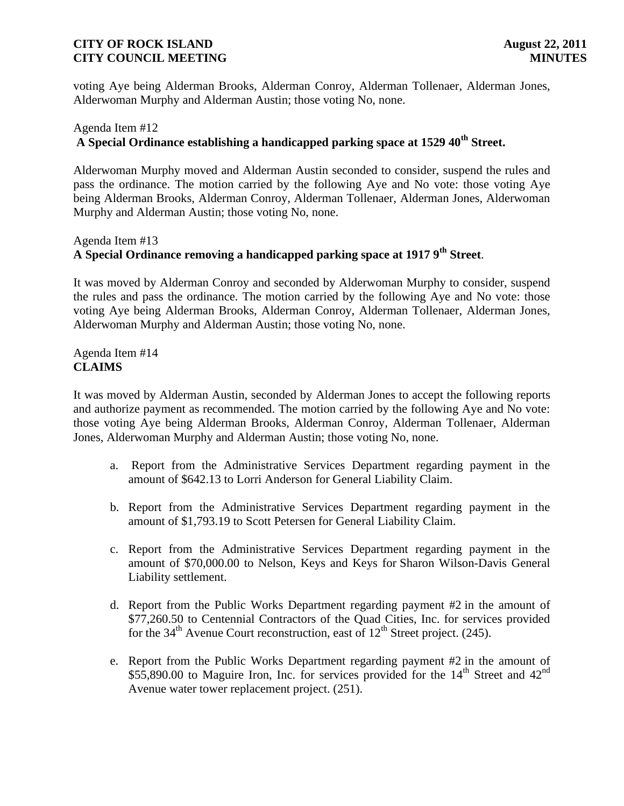voting Aye being Alderman Brooks, Alderman Conroy, Alderman Tollenaer, Alderman Jones, Alderwoman Murphy and Alderman Austin; those voting No, none.

# Agenda Item #12 **A Special Ordinance establishing a handicapped parking space at 1529 40th Street.**

Alderwoman Murphy moved and Alderman Austin seconded to consider, suspend the rules and pass the ordinance. The motion carried by the following Aye and No vote: those voting Aye being Alderman Brooks, Alderman Conroy, Alderman Tollenaer, Alderman Jones, Alderwoman Murphy and Alderman Austin; those voting No, none.

# Agenda Item #13 **A Special Ordinance removing a handicapped parking space at 1917 9th Street**.

It was moved by Alderman Conroy and seconded by Alderwoman Murphy to consider, suspend the rules and pass the ordinance. The motion carried by the following Aye and No vote: those voting Aye being Alderman Brooks, Alderman Conroy, Alderman Tollenaer, Alderman Jones, Alderwoman Murphy and Alderman Austin; those voting No, none.

Agenda Item #14 **CLAIMS**

It was moved by Alderman Austin, seconded by Alderman Jones to accept the following reports and authorize payment as recommended. The motion carried by the following Aye and No vote: those voting Aye being Alderman Brooks, Alderman Conroy, Alderman Tollenaer, Alderman Jones, Alderwoman Murphy and Alderman Austin; those voting No, none.

- a. Report from the Administrative Services Department regarding payment in the amount of \$642.13 to Lorri Anderson for General Liability Claim.
- b. Report from the Administrative Services Department regarding payment in the amount of \$1,793.19 to Scott Petersen for General Liability Claim.
- c. Report from the Administrative Services Department regarding payment in the amount of \$70,000.00 to Nelson, Keys and Keys for Sharon Wilson-Davis General Liability settlement.
- d. Report from the Public Works Department regarding payment #2 in the amount of \$77,260.50 to Centennial Contractors of the Quad Cities, Inc. for services provided for the  $34<sup>th</sup>$  Avenue Court reconstruction, east of  $12<sup>th</sup>$  Street project. (245).
- e. Report from the Public Works Department regarding payment #2 in the amount of \$55,890.00 to Maguire Iron, Inc. for services provided for the  $14<sup>th</sup>$  Street and  $42<sup>nd</sup>$ Avenue water tower replacement project. (251).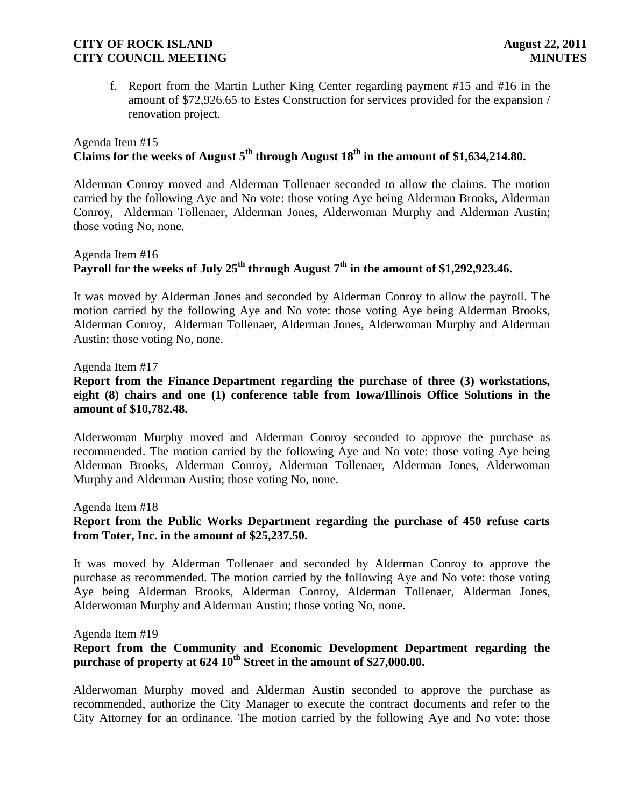f. Report from the Martin Luther King Center regarding payment #15 and #16 in the amount of \$72,926.65 to Estes Construction for services provided for the expansion / renovation project.

# Agenda Item #15 **Claims for the weeks of August 5th through August 18th in the amount of \$1,634,214.80.**

Alderman Conroy moved and Alderman Tollenaer seconded to allow the claims. The motion carried by the following Aye and No vote: those voting Aye being Alderman Brooks, Alderman Conroy, Alderman Tollenaer, Alderman Jones, Alderwoman Murphy and Alderman Austin; those voting No, none.

# Agenda Item #16 **Payroll for the weeks of July 25th through August 7th in the amount of \$1,292,923.46.**

It was moved by Alderman Jones and seconded by Alderman Conroy to allow the payroll. The motion carried by the following Aye and No vote: those voting Aye being Alderman Brooks, Alderman Conroy, Alderman Tollenaer, Alderman Jones, Alderwoman Murphy and Alderman Austin; those voting No, none.

Agenda Item #17 **Report from the Finance Department regarding the purchase of three (3) workstations, eight (8) chairs and one (1) conference table from Iowa/Illinois Office Solutions in the amount of \$10,782.48.**

Alderwoman Murphy moved and Alderman Conroy seconded to approve the purchase as recommended. The motion carried by the following Aye and No vote: those voting Aye being Alderman Brooks, Alderman Conroy, Alderman Tollenaer, Alderman Jones, Alderwoman Murphy and Alderman Austin; those voting No, none.

Agenda Item #18

# **Report from the Public Works Department regarding the purchase of 450 refuse carts from Toter, Inc. in the amount of \$25,237.50.**

It was moved by Alderman Tollenaer and seconded by Alderman Conroy to approve the purchase as recommended. The motion carried by the following Aye and No vote: those voting Aye being Alderman Brooks, Alderman Conroy, Alderman Tollenaer, Alderman Jones, Alderwoman Murphy and Alderman Austin; those voting No, none.

Agenda Item #19

# **Report from the Community and Economic Development Department regarding the purchase of property at 624 10th Street in the amount of \$27,000.00.**

Alderwoman Murphy moved and Alderman Austin seconded to approve the purchase as recommended, authorize the City Manager to execute the contract documents and refer to the City Attorney for an ordinance. The motion carried by the following Aye and No vote: those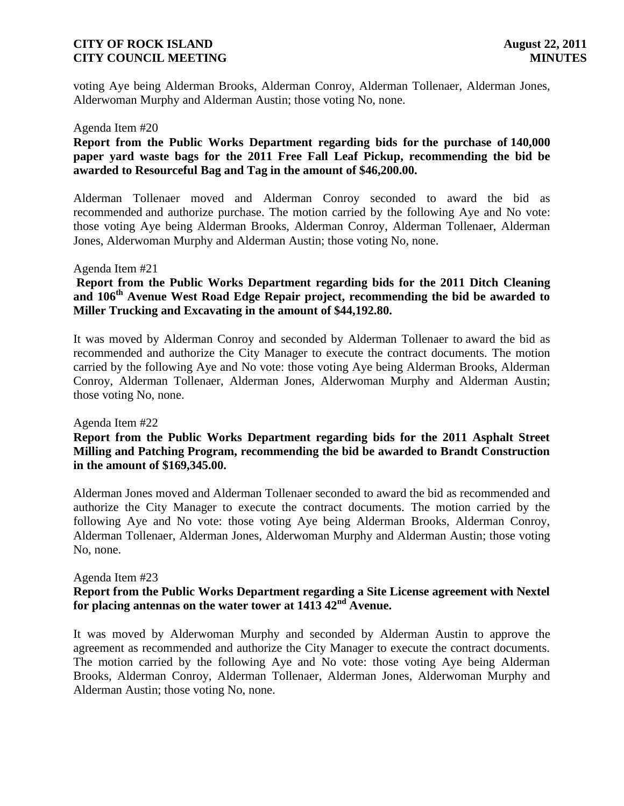voting Aye being Alderman Brooks, Alderman Conroy, Alderman Tollenaer, Alderman Jones, Alderwoman Murphy and Alderman Austin; those voting No, none.

#### Agenda Item #20

### **Report from the Public Works Department regarding bids for the purchase of 140,000 paper yard waste bags for the 2011 Free Fall Leaf Pickup, recommending the bid be awarded to Resourceful Bag and Tag in the amount of \$46,200.00.**

Alderman Tollenaer moved and Alderman Conroy seconded to award the bid as recommended and authorize purchase. The motion carried by the following Aye and No vote: those voting Aye being Alderman Brooks, Alderman Conroy, Alderman Tollenaer, Alderman Jones, Alderwoman Murphy and Alderman Austin; those voting No, none.

#### Agenda Item #21

## **Report from the Public Works Department regarding bids for the 2011 Ditch Cleaning and 106th Avenue West Road Edge Repair project, recommending the bid be awarded to Miller Trucking and Excavating in the amount of \$44,192.80.**

It was moved by Alderman Conroy and seconded by Alderman Tollenaer to award the bid as recommended and authorize the City Manager to execute the contract documents. The motion carried by the following Aye and No vote: those voting Aye being Alderman Brooks, Alderman Conroy, Alderman Tollenaer, Alderman Jones, Alderwoman Murphy and Alderman Austin; those voting No, none.

#### Agenda Item #22

### **Report from the Public Works Department regarding bids for the 2011 Asphalt Street Milling and Patching Program, recommending the bid be awarded to Brandt Construction in the amount of \$169,345.00.**

Alderman Jones moved and Alderman Tollenaer seconded to award the bid as recommended and authorize the City Manager to execute the contract documents. The motion carried by the following Aye and No vote: those voting Aye being Alderman Brooks, Alderman Conroy, Alderman Tollenaer, Alderman Jones, Alderwoman Murphy and Alderman Austin; those voting No, none.

#### Agenda Item #23 **Report from the Public Works Department regarding a Site License agreement with Nextel for placing antennas on the water tower at 1413 42nd Avenue.**

It was moved by Alderwoman Murphy and seconded by Alderman Austin to approve the agreement as recommended and authorize the City Manager to execute the contract documents. The motion carried by the following Aye and No vote: those voting Aye being Alderman Brooks, Alderman Conroy, Alderman Tollenaer, Alderman Jones, Alderwoman Murphy and Alderman Austin; those voting No, none.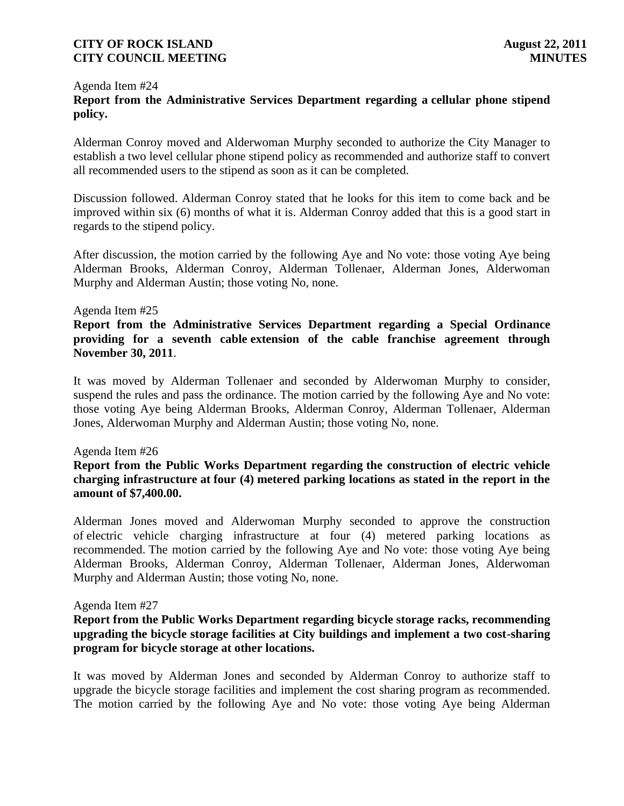#### Agenda Item #24

# **Report from the Administrative Services Department regarding a cellular phone stipend policy.**

Alderman Conroy moved and Alderwoman Murphy seconded to authorize the City Manager to establish a two level cellular phone stipend policy as recommended and authorize staff to convert all recommended users to the stipend as soon as it can be completed.

Discussion followed. Alderman Conroy stated that he looks for this item to come back and be improved within six (6) months of what it is. Alderman Conroy added that this is a good start in regards to the stipend policy.

After discussion, the motion carried by the following Aye and No vote: those voting Aye being Alderman Brooks, Alderman Conroy, Alderman Tollenaer, Alderman Jones, Alderwoman Murphy and Alderman Austin; those voting No, none.

#### Agenda Item #25

### **Report from the Administrative Services Department regarding a Special Ordinance providing for a seventh cable extension of the cable franchise agreement through November 30, 2011**.

It was moved by Alderman Tollenaer and seconded by Alderwoman Murphy to consider, suspend the rules and pass the ordinance. The motion carried by the following Aye and No vote: those voting Aye being Alderman Brooks, Alderman Conroy, Alderman Tollenaer, Alderman Jones, Alderwoman Murphy and Alderman Austin; those voting No, none.

#### Agenda Item #26

## **Report from the Public Works Department regarding the construction of electric vehicle charging infrastructure at four (4) metered parking locations as stated in the report in the amount of \$7,400.00.**

Alderman Jones moved and Alderwoman Murphy seconded to approve the construction of electric vehicle charging infrastructure at four (4) metered parking locations as recommended. The motion carried by the following Aye and No vote: those voting Aye being Alderman Brooks, Alderman Conroy, Alderman Tollenaer, Alderman Jones, Alderwoman Murphy and Alderman Austin; those voting No, none.

#### Agenda Item #27

### **Report from the Public Works Department regarding bicycle storage racks, recommending upgrading the bicycle storage facilities at City buildings and implement a two cost-sharing program for bicycle storage at other locations.**

It was moved by Alderman Jones and seconded by Alderman Conroy to authorize staff to upgrade the bicycle storage facilities and implement the cost sharing program as recommended. The motion carried by the following Aye and No vote: those voting Aye being Alderman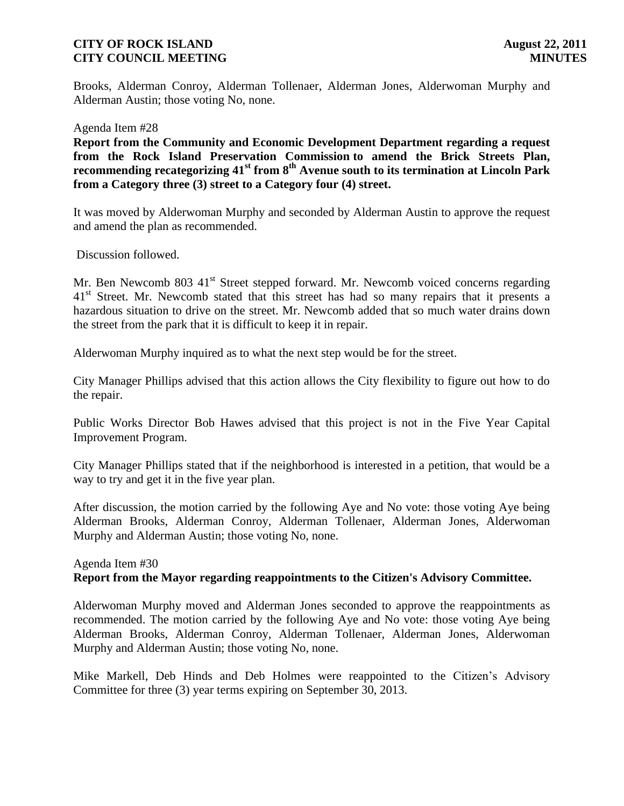Brooks, Alderman Conroy, Alderman Tollenaer, Alderman Jones, Alderwoman Murphy and Alderman Austin; those voting No, none.

Agenda Item #28

**Report from the Community and Economic Development Department regarding a request from the Rock Island Preservation Commission to amend the Brick Streets Plan, recommending recategorizing 41st from 8th Avenue south to its termination at Lincoln Park from a Category three (3) street to a Category four (4) street.**

It was moved by Alderwoman Murphy and seconded by Alderman Austin to approve the request and amend the plan as recommended.

Discussion followed.

Mr. Ben Newcomb 803 41<sup>st</sup> Street stepped forward. Mr. Newcomb voiced concerns regarding 41<sup>st</sup> Street. Mr. Newcomb stated that this street has had so many repairs that it presents a hazardous situation to drive on the street. Mr. Newcomb added that so much water drains down the street from the park that it is difficult to keep it in repair.

Alderwoman Murphy inquired as to what the next step would be for the street.

City Manager Phillips advised that this action allows the City flexibility to figure out how to do the repair.

Public Works Director Bob Hawes advised that this project is not in the Five Year Capital Improvement Program.

City Manager Phillips stated that if the neighborhood is interested in a petition, that would be a way to try and get it in the five year plan.

After discussion, the motion carried by the following Aye and No vote: those voting Aye being Alderman Brooks, Alderman Conroy, Alderman Tollenaer, Alderman Jones, Alderwoman Murphy and Alderman Austin; those voting No, none.

### Agenda Item #30 **Report from the Mayor regarding reappointments to the Citizen's Advisory Committee.**

Alderwoman Murphy moved and Alderman Jones seconded to approve the reappointments as recommended. The motion carried by the following Aye and No vote: those voting Aye being Alderman Brooks, Alderman Conroy, Alderman Tollenaer, Alderman Jones, Alderwoman Murphy and Alderman Austin; those voting No, none.

Mike Markell, Deb Hinds and Deb Holmes were reappointed to the Citizen's Advisory Committee for three (3) year terms expiring on September 30, 2013.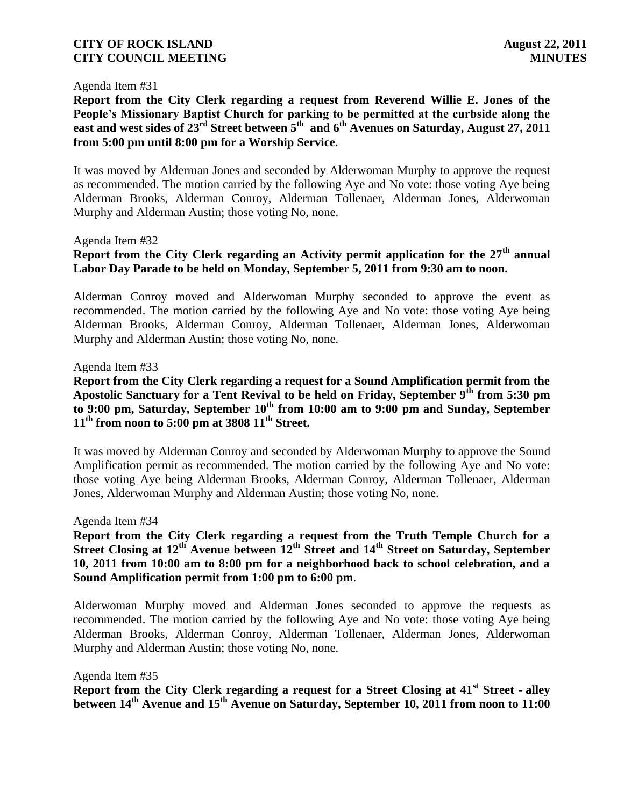#### Agenda Item #31

**Report from the City Clerk regarding a request from Reverend Willie E. Jones of the People's Missionary Baptist Church for parking to be permitted at the curbside along the east and west sides of 23rd Street between 5th and 6th Avenues on Saturday, August 27, 2011 from 5:00 pm until 8:00 pm for a Worship Service.**

It was moved by Alderman Jones and seconded by Alderwoman Murphy to approve the request as recommended. The motion carried by the following Aye and No vote: those voting Aye being Alderman Brooks, Alderman Conroy, Alderman Tollenaer, Alderman Jones, Alderwoman Murphy and Alderman Austin; those voting No, none.

#### Agenda Item #32

# **Report from the City Clerk regarding an Activity permit application for the 27th annual Labor Day Parade to be held on Monday, September 5, 2011 from 9:30 am to noon.**

Alderman Conroy moved and Alderwoman Murphy seconded to approve the event as recommended. The motion carried by the following Aye and No vote: those voting Aye being Alderman Brooks, Alderman Conroy, Alderman Tollenaer, Alderman Jones, Alderwoman Murphy and Alderman Austin; those voting No, none.

#### Agenda Item #33

**Report from the City Clerk regarding a request for a Sound Amplification permit from the Apostolic Sanctuary for a Tent Revival to be held on Friday, September 9th from 5:30 pm to 9:00 pm, Saturday, September 10th from 10:00 am to 9:00 pm and Sunday, September 11th from noon to 5:00 pm at 3808 11th Street.** 

It was moved by Alderman Conroy and seconded by Alderwoman Murphy to approve the Sound Amplification permit as recommended. The motion carried by the following Aye and No vote: those voting Aye being Alderman Brooks, Alderman Conroy, Alderman Tollenaer, Alderman Jones, Alderwoman Murphy and Alderman Austin; those voting No, none.

#### Agenda Item #34

**Report from the City Clerk regarding a request from the Truth Temple Church for a Street Closing at 12th Avenue between 12th Street and 14th Street on Saturday, September 10, 2011 from 10:00 am to 8:00 pm for a neighborhood back to school celebration, and a Sound Amplification permit from 1:00 pm to 6:00 pm**.

Alderwoman Murphy moved and Alderman Jones seconded to approve the requests as recommended. The motion carried by the following Aye and No vote: those voting Aye being Alderman Brooks, Alderman Conroy, Alderman Tollenaer, Alderman Jones, Alderwoman Murphy and Alderman Austin; those voting No, none.

Agenda Item #35

**Report from the City Clerk regarding a request for a Street Closing at 41st Street - alley between 14th Avenue and 15th Avenue on Saturday, September 10, 2011 from noon to 11:00**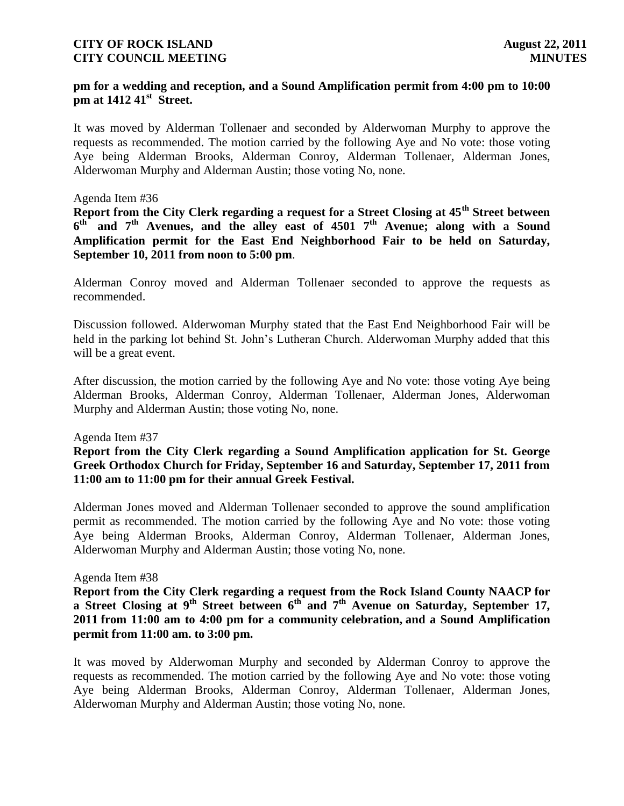### **pm for a wedding and reception, and a Sound Amplification permit from 4:00 pm to 10:00 pm at 1412 41st Street.**

It was moved by Alderman Tollenaer and seconded by Alderwoman Murphy to approve the requests as recommended. The motion carried by the following Aye and No vote: those voting Aye being Alderman Brooks, Alderman Conroy, Alderman Tollenaer, Alderman Jones, Alderwoman Murphy and Alderman Austin; those voting No, none.

#### Agenda Item #36

**Report from the City Clerk regarding a request for a Street Closing at 45th Street between 6 th and 7th Avenues, and the alley east of 4501 7th Avenue; along with a Sound Amplification permit for the East End Neighborhood Fair to be held on Saturday, September 10, 2011 from noon to 5:00 pm**.

Alderman Conroy moved and Alderman Tollenaer seconded to approve the requests as recommended.

Discussion followed. Alderwoman Murphy stated that the East End Neighborhood Fair will be held in the parking lot behind St. John's Lutheran Church. Alderwoman Murphy added that this will be a great event.

After discussion, the motion carried by the following Aye and No vote: those voting Aye being Alderman Brooks, Alderman Conroy, Alderman Tollenaer, Alderman Jones, Alderwoman Murphy and Alderman Austin; those voting No, none.

#### Agenda Item #37

**Report from the City Clerk regarding a Sound Amplification application for St. George Greek Orthodox Church for Friday, September 16 and Saturday, September 17, 2011 from 11:00 am to 11:00 pm for their annual Greek Festival.** 

Alderman Jones moved and Alderman Tollenaer seconded to approve the sound amplification permit as recommended. The motion carried by the following Aye and No vote: those voting Aye being Alderman Brooks, Alderman Conroy, Alderman Tollenaer, Alderman Jones, Alderwoman Murphy and Alderman Austin; those voting No, none.

#### Agenda Item #38

**Report from the City Clerk regarding a request from the Rock Island County NAACP for a Street Closing at 9th Street between 6th and 7th Avenue on Saturday, September 17, 2011 from 11:00 am to 4:00 pm for a community celebration, and a Sound Amplification permit from 11:00 am. to 3:00 pm.**

It was moved by Alderwoman Murphy and seconded by Alderman Conroy to approve the requests as recommended. The motion carried by the following Aye and No vote: those voting Aye being Alderman Brooks, Alderman Conroy, Alderman Tollenaer, Alderman Jones, Alderwoman Murphy and Alderman Austin; those voting No, none.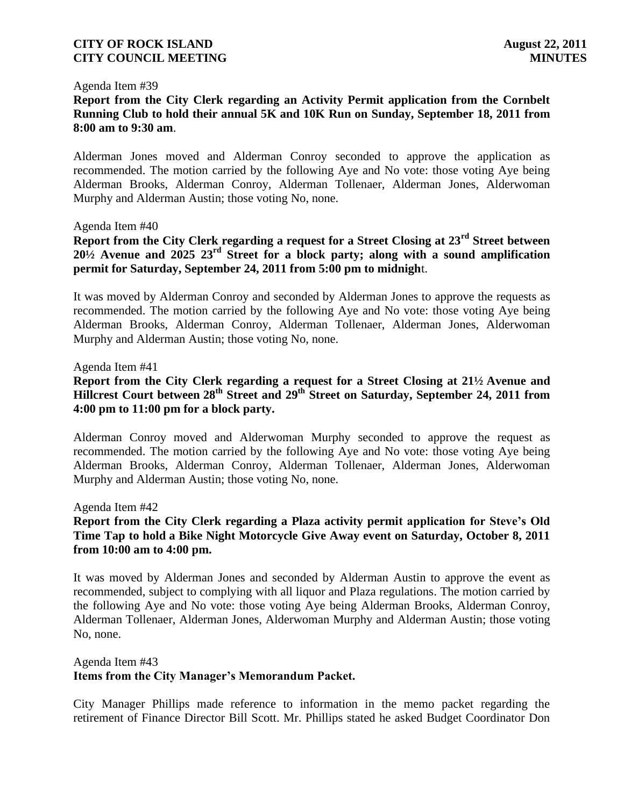#### Agenda Item #39

**Report from the City Clerk regarding an Activity Permit application from the Cornbelt Running Club to hold their annual 5K and 10K Run on Sunday, September 18, 2011 from 8:00 am to 9:30 am**.

Alderman Jones moved and Alderman Conroy seconded to approve the application as recommended. The motion carried by the following Aye and No vote: those voting Aye being Alderman Brooks, Alderman Conroy, Alderman Tollenaer, Alderman Jones, Alderwoman Murphy and Alderman Austin; those voting No, none.

#### Agenda Item #40

**Report from the City Clerk regarding a request for a Street Closing at 23rd Street between 20½ Avenue and 2025 23rd Street for a block party; along with a sound amplification permit for Saturday, September 24, 2011 from 5:00 pm to midnigh**t.

It was moved by Alderman Conroy and seconded by Alderman Jones to approve the requests as recommended. The motion carried by the following Aye and No vote: those voting Aye being Alderman Brooks, Alderman Conroy, Alderman Tollenaer, Alderman Jones, Alderwoman Murphy and Alderman Austin; those voting No, none.

#### Agenda Item #41

### **Report from the City Clerk regarding a request for a Street Closing at 21½ Avenue and Hillcrest Court between 28th Street and 29th Street on Saturday, September 24, 2011 from 4:00 pm to 11:00 pm for a block party.**

Alderman Conroy moved and Alderwoman Murphy seconded to approve the request as recommended. The motion carried by the following Aye and No vote: those voting Aye being Alderman Brooks, Alderman Conroy, Alderman Tollenaer, Alderman Jones, Alderwoman Murphy and Alderman Austin; those voting No, none.

Agenda Item #42

# **Report from the City Clerk regarding a Plaza activity permit application for Steve's Old Time Tap to hold a Bike Night Motorcycle Give Away event on Saturday, October 8, 2011 from 10:00 am to 4:00 pm.**

It was moved by Alderman Jones and seconded by Alderman Austin to approve the event as recommended, subject to complying with all liquor and Plaza regulations. The motion carried by the following Aye and No vote: those voting Aye being Alderman Brooks, Alderman Conroy, Alderman Tollenaer, Alderman Jones, Alderwoman Murphy and Alderman Austin; those voting No, none.

#### Agenda Item #43

### **Items from the City Manager's Memorandum Packet.**

City Manager Phillips made reference to information in the memo packet regarding the retirement of Finance Director Bill Scott. Mr. Phillips stated he asked Budget Coordinator Don